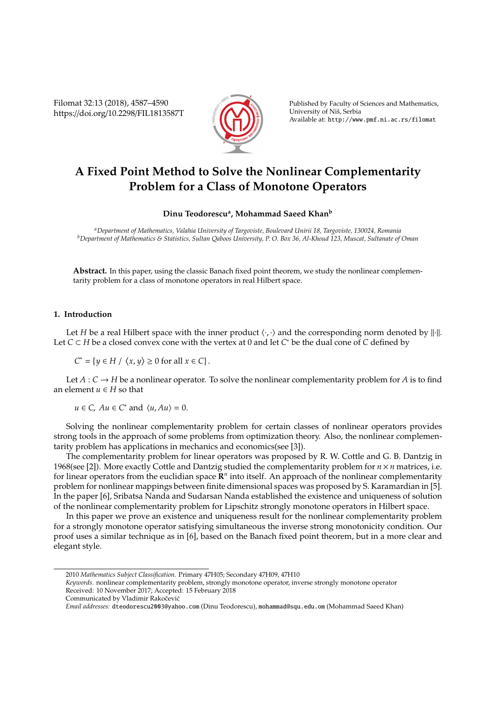Filomat 32:13 (2018), 4587–4590 https://doi.org/10.2298/FIL1813587T



Published by Faculty of Sciences and Mathematics, University of Niš, Serbia Available at: http://www.pmf.ni.ac.rs/filomat

# **A Fixed Point Method to Solve the Nonlinear Complementarity Problem for a Class of Monotone Operators**

## **Dinu Teodorescu<sup>a</sup> , Mohammad Saeed Khan<sup>b</sup>**

*<sup>a</sup>Department of Mathematics, Valahia University of Targoviste, Boulevard Unirii 18, Targoviste, 130024, Romania <sup>b</sup>Department of Mathematics & Statistics, Sultan Qaboos University, P. O. Box 36, Al-Khoud 123, Muscat, Sultanate of Oman*

**Abstract.** In this paper, using the classic Banach fixed point theorem, we study the nonlinear complementarity problem for a class of monotone operators in real Hilbert space.

### **1. Introduction**

Let *H* be a real Hilbert space with the inner product  $\langle \cdot, \cdot \rangle$  and the corresponding norm denoted by || $\| \cdot \|$ . Let *C* ⊂ *H* be a closed convex cone with the vertex at 0 and let *C* <sup>∗</sup> be the dual cone of *C* defined by

 $C^* = \{ y \in H \mid \langle x, y \rangle \ge 0 \text{ for all } x \in C \}.$ 

Let  $A: C \rightarrow H$  be a nonlinear operator. To solve the nonlinear complementarity problem for A is to find an element  $u \in H$  so that

 $u \in C$ ,  $Au \in C^*$  and  $\langle u, Au \rangle = 0$ .

Solving the nonlinear complementarity problem for certain classes of nonlinear operators provides strong tools in the approach of some problems from optimization theory. Also, the nonlinear complementarity problem has applications in mechanics and economics(see [3]).

The complementarity problem for linear operators was proposed by R. W. Cottle and G. B. Dantzig in 1968(see [2]). More exactly Cottle and Dantzig studied the complementarity problem for *n* × *n* matrices, i.e. for linear operators from the euclidian space  $\mathbb{R}^n$  into itself. An approach of the nonlinear complementarity problem for nonlinear mappings between finite dimensional spaces was proposed by S. Karamardian in [5]. In the paper [6], Sribatsa Nanda and Sudarsan Nanda established the existence and uniqueness of solution of the nonlinear complementarity problem for Lipschitz strongly monotone operators in Hilbert space.

In this paper we prove an existence and uniqueness result for the nonlinear complementarity problem for a strongly monotone operator satisfying simultaneous the inverse strong monotonicity condition. Our proof uses a similar technique as in [6], based on the Banach fixed point theorem, but in a more clear and elegant style.

<sup>2010</sup> *Mathematics Subject Classification*. Primary 47H05; Secondary 47H09, 47H10

*Keywords*. nonlinear complementarity problem, strongly monotone operator, inverse strongly monotone operator Received: 10 November 2017; Accepted: 15 February 2018

Communicated by Vladimir Rakočević

*Email addresses:* dteodorescu2003@yahoo.com (Dinu Teodorescu), mohammad@squ.edu.om (Mohammad Saeed Khan)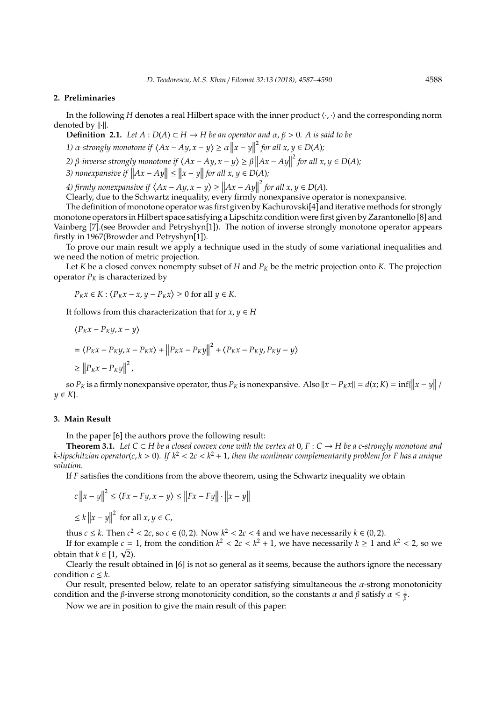#### **2. Preliminaries**

In the following *H* denotes a real Hilbert space with the inner product  $\langle \cdot, \cdot \rangle$  and the corresponding norm denoted by  $\|\cdot\|$ .

**Definition 2.1.** *Let*  $A: D(A) \subset H \rightarrow H$  *be an operator and*  $\alpha, \beta > 0$ *. A is said to be* 

*1*)  $\alpha$ -strongly monotone if  $\langle Ax - Ay, x - y \rangle \ge \alpha ||x - y||^2$  for all  $x, y \in D(A)$ *;*  $\mathsf{I}$ 

*2)* β-*inverse strongly monotone if*  $\langle Ax - Ay, x - y \rangle \ge \beta \left\| Ax - Ay \right\|$  $^{2}$  for all  $x, y \in D(A)$ ;

*3*) nonexpansive if  $||Ax - Ay|| \le ||x - y||$  for all  $x, y \in D(A)$ ;

*4)* firmly nonexpansive if  $\langle Ax - Ay, x - y \rangle \ge ||Ax - Ay||^2$  for all  $x, y \in D(A)$ .<br>Closely due to the Sebverstrip covality events finally nonexpressive appear

Clearly, due to the Schwartz inequality, every firmly nonexpansive operator is nonexpansive.

The definition of monotone operator was first given by Kachurovski[4] and iterative methods for strongly monotone operators in Hilbert space satisfying a Lipschitz condition were first given by Zarantonello [8] and Vainberg [7].(see Browder and Petryshyn[1]). The notion of inverse strongly monotone operator appears firstly in 1967(Browder and Petryshyn[1]).

To prove our main result we apply a technique used in the study of some variational inequalities and we need the notion of metric projection.

Let *K* be a closed convex nonempty subset of *H* and  $P_K$  be the metric projection onto *K*. The projection operator  $P_K$  is characterized by

$$
P_K x \in K : \langle P_K x - x, y - P_K x \rangle \ge 0 \text{ for all } y \in K.
$$

It follows from this characterization that for  $x, y \in H$ 

$$
\langle P_K x - P_K y, x - y \rangle
$$
  
=  $\langle P_K x - P_K y, x - P_K x \rangle + ||P_K x - P_K y||^2 + \langle P_K x - P_K y, P_K y - y \rangle$   
 $\ge ||P_K x - P_K y||^2$ ,

so  $P_K$  is a firmly nonexpansive operator, thus  $P_K$  is nonexpansive. Also  $||x - P_K x|| = d(x; K) = \inf\{||x - y|| / K\}$  $y \in K$ .

#### **3. Main Result**

In the paper [6] the authors prove the following result:

**Theorem 3.1.** Let  $C ⊂ H$  be a closed convex cone with the vertex at  $0, F : C → H$  be a c-strongly monotone and *k-lipschitzian operator*(*c*, *k* > 0)*. If k*<sup>2</sup> < 2*c* < *k* <sup>2</sup> + 1, *then the nonlinear complementarity problem for F has a unique solution.*

If *F* satisfies the conditions from the above theorem, using the Schwartz inequality we obtain

$$
c ||x - y||2 \le \langle Fx - Fy, x - y \rangle \le ||Fx - Fy|| \cdot ||x - y||
$$
  

$$
\le k ||x - y||2 \text{ for all } x, y \in C,
$$

thus *c*  $\leq$  *k*. Then *c*<sup>2</sup> < 2*c*, so *c*  $\in$  (0, 2). Now *k*<sup>2</sup> < 2*c* < 4 and we have necessarily *k*  $\in$  (0, 2).

If for example  $c = 1$ , from the condition  $k^2 < 2c < k^2 + 1$ , we have necessarily  $k \ge 1$  and  $k^2 < 2$ , so we obtain that  $k \in [1, \sqrt{2})$ .

Clearly the result obtained in [6] is not so general as it seems, because the authors ignore the necessary condition  $c \leq k$ .

Our result, presented below, relate to an operator satisfying simultaneous the  $\alpha$ -strong monotonicity condition and the *β*-inverse strong monotonicity condition, so the constants  $\alpha$  and  $\beta$  satisfy  $\alpha \leq \frac{1}{\beta}$ .

Now we are in position to give the main result of this paper: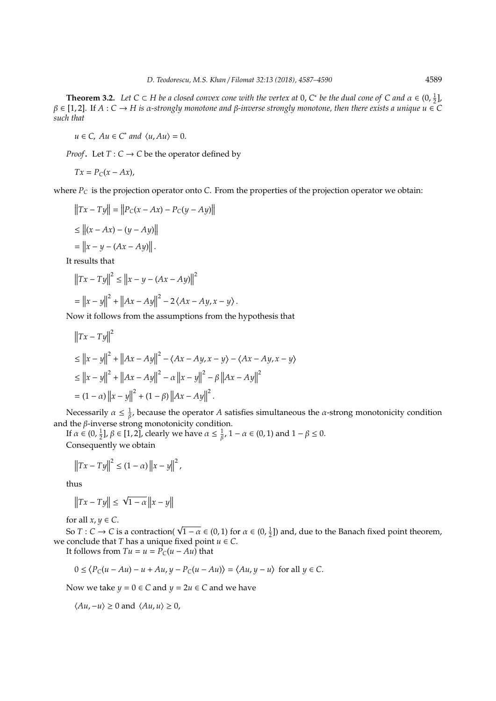**Theorem 3.2.** Let  $C \subset H$  be a closed convex cone with the vertex at 0,  $C^*$  be the dual cone of  $C$  and  $\alpha \in (0, \frac{1}{2}]$ , β ∈ [1, 2]. If *A* : *C* → *H is* α*-strongly monotone and* β*-inverse strongly monotone, then there exists a unique u* ∈ *C such that*

 $u \in C$ ,  $Au \in C^*$  *and*  $\langle u, Au \rangle = 0$ .

*Proof*. Let  $T: C \rightarrow C$  be the operator defined by

$$
Tx = P_C(x - Ax),
$$

where  $P_C$  is the projection operator onto *C*. From the properties of the projection operator we obtain:

$$
||Tx - Ty|| = ||P_C(x - Ax) - P_C(y - Ay)||
$$
  
\n
$$
\le ||(x - Ax) - (y - Ay)||
$$
  
\n
$$
= ||x - y - (Ax - Ay)||.
$$

It results that

$$
||Tx - Ty||^{2} \le ||x - y - (Ax - Ay)||^{2}
$$
  
=  $||x - y||^{2} + ||Ax - Ay||^{2} - 2 \langle Ax - Ay, x - y \rangle$ .

Now it follows from the assumptions from the hypothesis that

$$
||Tx - Ty||2
$$
  
\n
$$
\le ||x - y||2 + ||Ax - Ay||2 - \langle Ax - Ay, x - y \rangle - \langle Ax - Ay, x - y \rangle
$$
  
\n
$$
\le ||x - y||2 + ||Ax - Ay||2 - \alpha ||x - y||2 - \beta ||Ax - Ay||2
$$
  
\n
$$
= (1 - \alpha) ||x - y||2 + (1 - \beta) ||Ax - Ay||2.
$$

Necessarily  $\alpha \leq \frac{1}{\beta}$ , because the operator *A* satisfies simultaneous the *α*-strong monotonicity condition and the  $\beta$ -inverse strong monotonicity condition.

If  $\alpha \in (0, \frac{1}{2}], \beta \in [1, 2]$ , clearly we have  $\alpha \leq \frac{1}{\beta}$ ,  $1 - \alpha \in (0, 1)$  and  $1 - \beta \leq 0$ . Consequently we obtain

$$
||Tx - Ty||^{2} \le (1 - \alpha) ||x - y||^{2},
$$

thus

$$
\left\|Tx - Ty\right\| \le \sqrt{1 - \alpha} \left\|x - y\right\|
$$

for all  $x, y \in C$ .

for all  $x, y \in C$ .<br>So  $T : C \to C$  is a contraction(  $\sqrt{1 - \alpha} \in (0, 1)$  for  $\alpha \in (0, \frac{1}{2}]$ ) and, due to the Banach fixed point theorem, we conclude that *T* has a unique fixed point  $u \in C$ .

It follows from  $Tu = u = P_C(u - Au)$  that

$$
0 \le \langle P_C(u - Au) - u + Au, y - P_C(u - Au) \rangle = \langle Au, y - u \rangle \text{ for all } y \in C.
$$

Now we take  $y = 0 \in C$  and  $y = 2u \in C$  and we have

 $\langle Au, -u \rangle \ge 0$  and  $\langle Au, u \rangle \ge 0$ ,